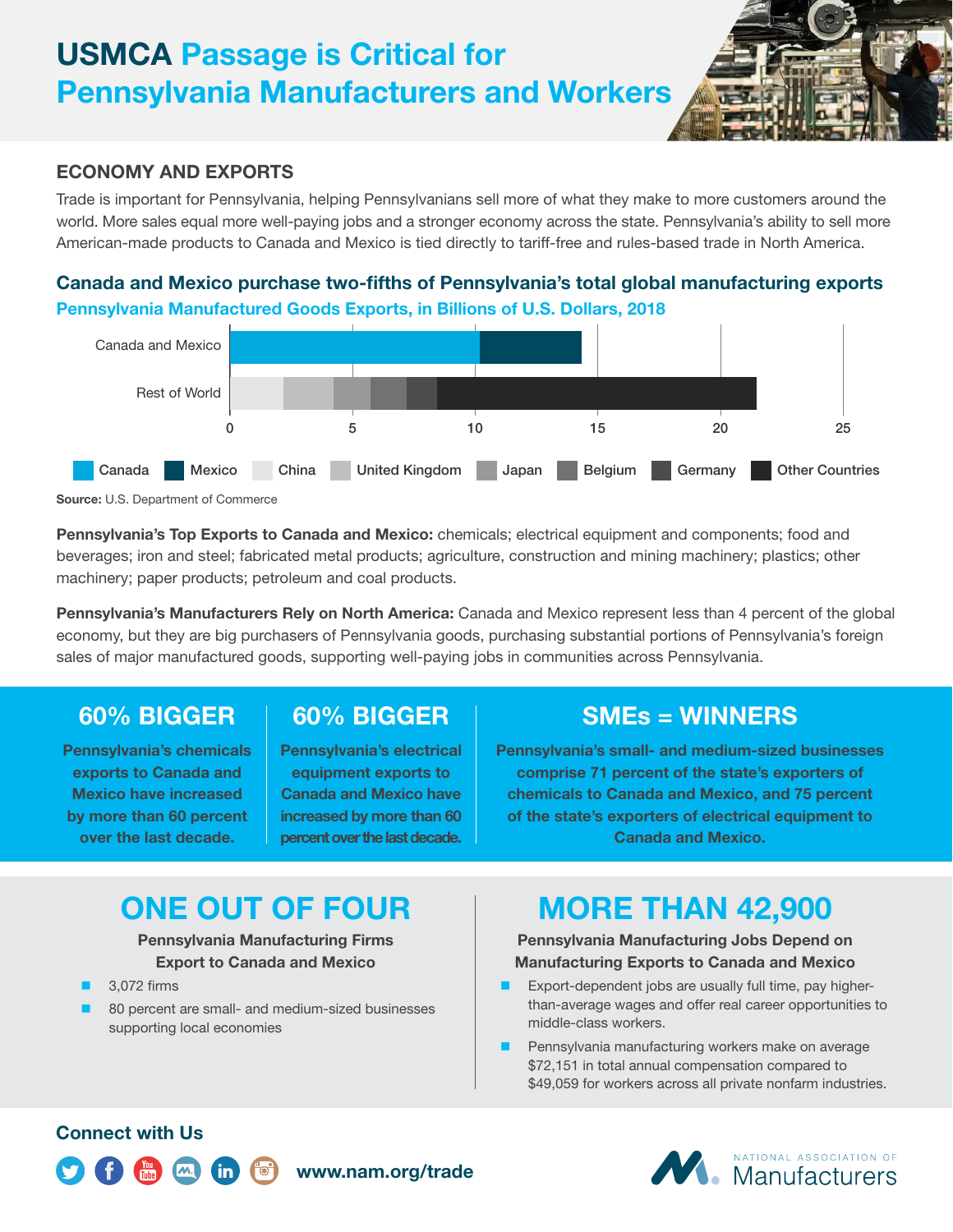# **USMCA Passage is Critical for Pennsylvania Manufacturers and Workers**

#### **ECONOMY AND EXPORTS**

Trade is important for Pennsylvania, helping Pennsylvanians sell more of what they make to more customers around the world. More sales equal more well-paying jobs and a stronger economy across the state. Pennsylvania's ability to sell more American-made products to Canada and Mexico is tied directly to tariff-free and rules-based trade in North America.

### **Canada and Mexico purchase two-fifths of Pennsylvania's total global manufacturing exports Pennsylvania Manufactured Goods Exports, in Billions of U.S. Dollars, 2018**



**Source:** U.S. Department of Commerce

**Pennsylvania's Top Exports to Canada and Mexico:** chemicals; electrical equipment and components; food and beverages; iron and steel; fabricated metal products; agriculture, construction and mining machinery; plastics; other machinery; paper products; petroleum and coal products.

**Pennsylvania's Manufacturers Rely on North America:** Canada and Mexico represent less than 4 percent of the global economy, but they are big purchasers of Pennsylvania goods, purchasing substantial portions of Pennsylvania's foreign sales of major manufactured goods, supporting well-paying jobs in communities across Pennsylvania.

### **60% BIGGER**

**Pennsylvania's chemicals exports to Canada and Mexico have increased by more than 60 percent over the last decade.**

## **60% BIGGER**

**Pennsylvania's electrical equipment exports to Canada and Mexico have increased by more than 60 percent over the last decade.**

**www.nam.org/trade**

### **SMEs = WINNERS**

**Pennsylvania's small- and medium-sized businesses comprise 71 percent of the state's exporters of chemicals to Canada and Mexico, and 75 percent of the state's exporters of electrical equipment to Canada and Mexico.**

# **ONE OUT OF FOUR**

#### **Pennsylvania Manufacturing Firms Export to Canada and Mexico**

- 3,072 firms
- 80 percent are small- and medium-sized businesses supporting local economies

# **MORE THAN 42,900**

#### **Pennsylvania Manufacturing Jobs Depend on Manufacturing Exports to Canada and Mexico**

- **EXPORT-DEPENDENT LEADER IS A LIGAN EXPORT-DEPENDENT EXPORT** than-average wages and offer real career opportunities to middle-class workers.
- **Pennsylvania manufacturing workers make on average** \$72,151 in total annual compensation compared to \$49,059 for workers across all private nonfarm industries.

### **Connect with Us**